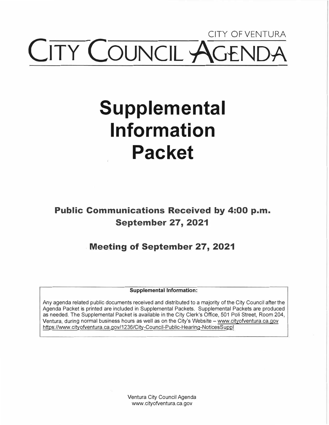## CITY OF VENTURA **TY COUNCIL Y**

# **Supplemental Information Packet**

**Public Communications Received by 4:00 p.m. September 27, 2021** 

**. Meeting of September 27, 2021** 

**Supplemental Information:** 

Any agenda related public documents received and distributed to a majority of the City Council after the Agenda Packet is printed are included in Supplemental Packets. Supplemental Packets are produced as needed. The Supplemental Packet is available in the City Clerk's Office, 501 Poli Street, Room 204, Ventura, during normal business hours as well as on the City's Website - www.cityofventura.ca.gov https://www.cityofventura.ca.gov/1236/City-Council-Public-Hearing-NoticesSuppl

> Ventura City Council Agenda www.cityofventura.ca.gov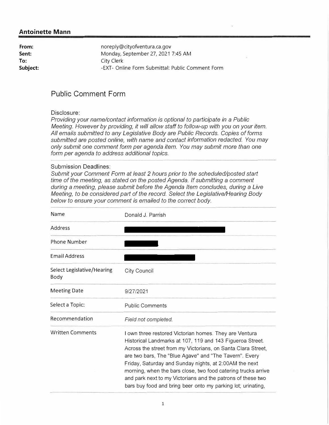## **Antoinette Mann**

| From:    | noreply@cityofventura.ca.gov                     |
|----------|--------------------------------------------------|
| Sent:    | Monday, September 27, 2021 7:45 AM               |
| To:      | City Clerk                                       |
| Subject: | -EXT- Online Form Submittal: Public Comment Form |

## **Public Comment Form**

### Disclosure:

*Providing your name/contact information is optional to participate in a Public Meeting. However by providing, it will allow staff to follow-up with you on your item. All emails submitted to any Legislative Body are Public Records. Copies of forms submitted are posted online, with name and contact information redacted. You may only submit one comment form per agenda item. You may submit more than one form per agenda to address additional topics.* 

#### Submission Deadlines:

*Submit your Comment Form at least 2 hours prior to the scheduled/posted start time of the meeting, as stated on the posted Agenda. If submitting a comment* during a meeting, please submit before the Agenda Item concludes, during a Live *Meeting, to be considered part of the record. Select the Legislative/Hearing Body below to ensure your comment is emailed to the correct body.* 

| Name                               | Donald J. Parrish                                                                                                                                                                                                                                                                                                                                                                                                                                                                                       |
|------------------------------------|---------------------------------------------------------------------------------------------------------------------------------------------------------------------------------------------------------------------------------------------------------------------------------------------------------------------------------------------------------------------------------------------------------------------------------------------------------------------------------------------------------|
| Address                            |                                                                                                                                                                                                                                                                                                                                                                                                                                                                                                         |
| Phone Number                       |                                                                                                                                                                                                                                                                                                                                                                                                                                                                                                         |
| <b>Email Address</b>               |                                                                                                                                                                                                                                                                                                                                                                                                                                                                                                         |
| Select Legislative/Hearing<br>Body | City Council                                                                                                                                                                                                                                                                                                                                                                                                                                                                                            |
| <b>Meeting Date</b>                | 9/27/2021                                                                                                                                                                                                                                                                                                                                                                                                                                                                                               |
| Select a Topic:                    | <b>Public Comments</b>                                                                                                                                                                                                                                                                                                                                                                                                                                                                                  |
| Recommendation                     | Field not completed.                                                                                                                                                                                                                                                                                                                                                                                                                                                                                    |
| <b>Written Comments</b>            | I own three restored Victorian homes. They are Ventura<br>Historical Landmarks at 107, 119 and 143 Figueroa Street.<br>Across the street from my Victorians, on Santa Clara Street,<br>are two bars, The "Blue Agave" and "The Tavern". Every<br>Friday, Saturday and Sunday nights, at 2:00AM the next<br>morning, when the bars close, two food catering trucks arrive<br>and park next to my Victorians and the patrons of these two<br>bars buy food and bring beer onto my parking lot; urinating, |